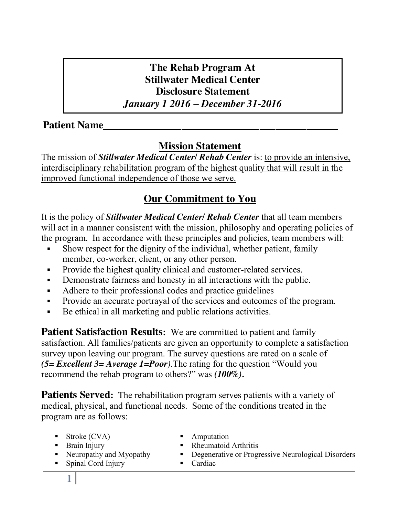# **The Rehab Program At Stillwater Medical Center Disclosure Statement**  *January 1 2016 – December 31-2016*

## **Patient Name**

# **Mission Statement**

The mission of *Stillwater Medical Center/ Rehab Center* is: to provide an intensive, interdisciplinary rehabilitation program of the highest quality that will result in the improved functional independence of those we serve.

# **Our Commitment to You**

It is the policy of *Stillwater Medical Center/ Rehab Center* that all team members will act in a manner consistent with the mission, philosophy and operating policies of the program. In accordance with these principles and policies, team members will:

- Show respect for the dignity of the individual, whether patient, family member, co-worker, client, or any other person.
- Provide the highest quality clinical and customer-related services.
- Demonstrate fairness and honesty in all interactions with the public.
- Adhere to their professional codes and practice guidelines
- Provide an accurate portrayal of the services and outcomes of the program.
- Be ethical in all marketing and public relations activities.

**Patient Satisfaction Results:** We are committed to patient and family satisfaction. All families/patients are given an opportunity to complete a satisfaction survey upon leaving our program. The survey questions are rated on a scale of *(5= Excellent 3= Average 1=Poor)*.The rating for the question "Would you recommend the rehab program to others?" was *(100%).*

**Patients Served:** The rehabilitation program serves patients with a variety of medical, physical, and functional needs. Some of the conditions treated in the program are as follows:

- Stroke (CVA) Amputation
- 
- Brain Injury Rheumatoid Arthritis
- Neuropathy and Myopathy **Degenerative or Progressive Neurological Disorders**
- Spinal Cord Injury Cardiac
-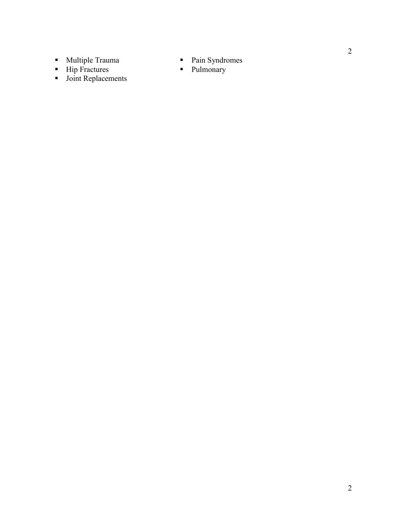- Multiple Trauma Pain Syndromes
- Import Hip Fractures **Pulmonary**
- **Joint Replacements**
- 
-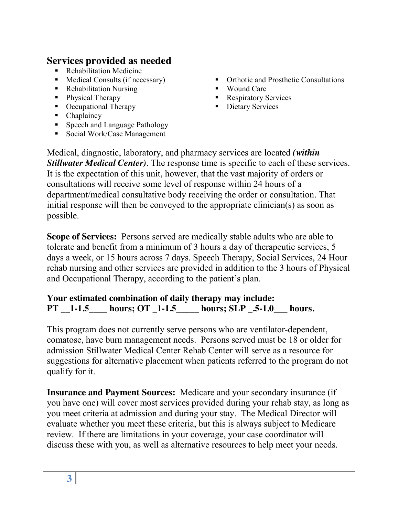# **Services provided as needed**

- Rehabilitation Medicine
- 
- Rehabilitation Nursing Wound Care
- 
- Occupational Therapy **Dietary Services**
- Chaplaincy
- Speech and Language Pathology
- Social Work/Case Management
- Medical Consults (if necessary) Orthotic and Prosthetic Consultations
	-
- **Physical Therapy Community Community Respiratory Services** 
	-

Medical, diagnostic, laboratory, and pharmacy services are located *(within Stillwater Medical Center)*. The response time is specific to each of these services. It is the expectation of this unit, however, that the vast majority of orders or consultations will receive some level of response within 24 hours of a department/medical consultative body receiving the order or consultation. That initial response will then be conveyed to the appropriate clinician(s) as soon as possible.

**Scope of Services:** Persons served are medically stable adults who are able to tolerate and benefit from a minimum of 3 hours a day of therapeutic services, 5 days a week, or 15 hours across 7 days. Speech Therapy, Social Services, 24 Hour rehab nursing and other services are provided in addition to the 3 hours of Physical and Occupational Therapy, according to the patient's plan.

### **Your estimated combination of daily therapy may include: PT \_\_1-1.5\_\_\_\_ hours; OT \_1-1.5\_\_\_\_\_ hours; SLP \_.5-1.0\_\_\_ hours.**

This program does not currently serve persons who are ventilator-dependent, comatose, have burn management needs. Persons served must be 18 or older for admission Stillwater Medical Center Rehab Center will serve as a resource for suggestions for alternative placement when patients referred to the program do not qualify for it.

**Insurance and Payment Sources:** Medicare and your secondary insurance (if you have one) will cover most services provided during your rehab stay, as long as you meet criteria at admission and during your stay. The Medical Director will evaluate whether you meet these criteria, but this is always subject to Medicare review. If there are limitations in your coverage, your case coordinator will discuss these with you, as well as alternative resources to help meet your needs.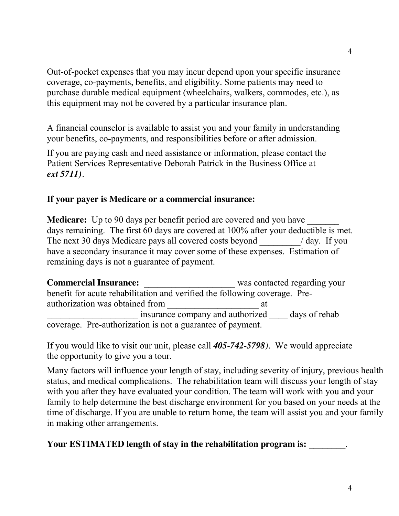Out-of-pocket expenses that you may incur depend upon your specific insurance coverage, co-payments, benefits, and eligibility. Some patients may need to purchase durable medical equipment (wheelchairs, walkers, commodes, etc.), as this equipment may not be covered by a particular insurance plan.

A financial counselor is available to assist you and your family in understanding your benefits, co-payments, and responsibilities before or after admission.

If you are paying cash and need assistance or information, please contact the Patient Services Representative Deborah Patrick in the Business Office at *ext 5711).*

### **If your payer is Medicare or a commercial insurance:**

**Medicare:** Up to 90 days per benefit period are covered and you have days remaining. The first 60 days are covered at 100% after your deductible is met. The next 30 days Medicare pays all covered costs beyond a state of day. If you have a secondary insurance it may cover some of these expenses. Estimation of remaining days is not a guarantee of payment.

**Commercial Insurance:** Was contacted regarding your benefit for acute rehabilitation and verified the following coverage. Preauthorization was obtained from \_\_\_\_\_\_\_\_\_\_\_\_\_\_\_\_\_\_\_\_ at insurance company and authorized days of rehab coverage. Pre-authorization is not a guarantee of payment.

If you would like to visit our unit, please call *405-742-5798).* We would appreciate the opportunity to give you a tour.

Many factors will influence your length of stay, including severity of injury, previous health status, and medical complications. The rehabilitation team will discuss your length of stay with you after they have evaluated your condition. The team will work with you and your family to help determine the best discharge environment for you based on your needs at the time of discharge. If you are unable to return home, the team will assist you and your family in making other arrangements.

**Your ESTIMATED length of stay in the rehabilitation program is:**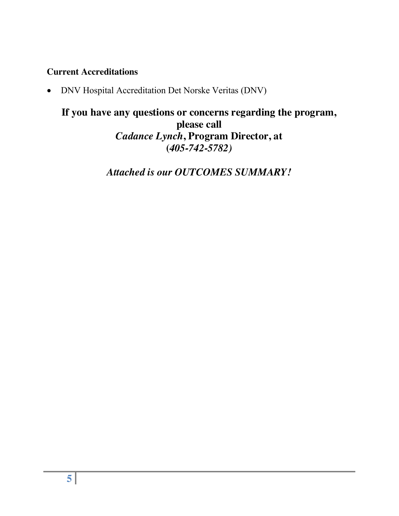### **Current Accreditations**

• DNV Hospital Accreditation Det Norske Veritas (DNV)

## **If you have any questions or concerns regarding the program, please call** *Cadance Lynch***, Program Director, at (***405-742-5782)*

*Attached is our OUTCOMES SUMMARY!*